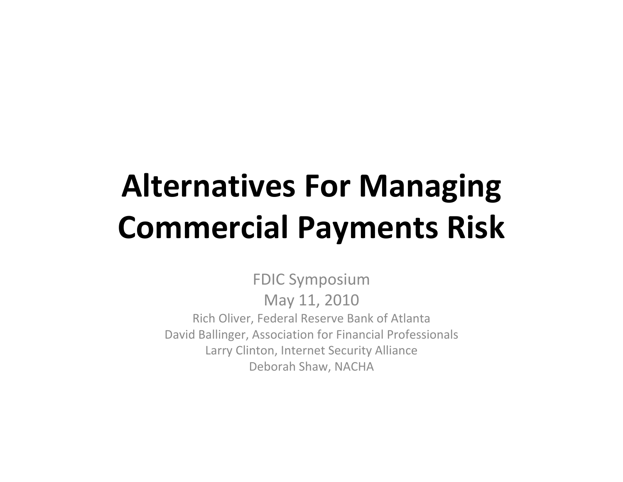## **Alternatives For Managing Commercial Payments Risk**

FDIC Symposium May 11, 2010 Rich Oliver, Federal Reserve Bank of Atlanta David Ballinger, Association for Financial Professionals Larry Clinton, Internet Security Alliance Deborah Shaw, NACHA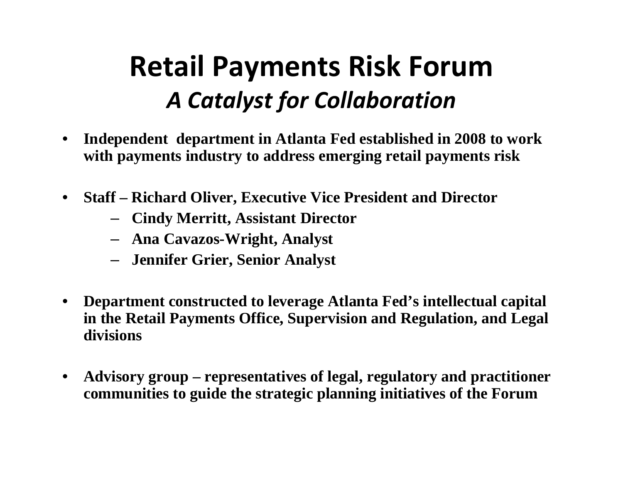## **Retail Payments Risk Forum** *A Catalyst for Collaboration*

- • **Independent department in Atlanta Fed established in 2008 to work with payments industry to address emerging retail payments risk**
- • **Staff – Richard Oliver, Executive Vice President and Director**
	- **Cindy Merritt, Assistant Director**
	- **Ana Cavazos-Wright, Analyst**
	- **Jennifer Grier, Senior Analyst**
- • **Department constructed to leverage Atlanta Fed's intellectual capital in the Retail Payments Office, Supervision and Regulation, and Legal divisions**
- $\bullet$  **Advisory group – representatives of legal, regulatory and practitioner communities to guide the strategic planning initiatives of the Forum**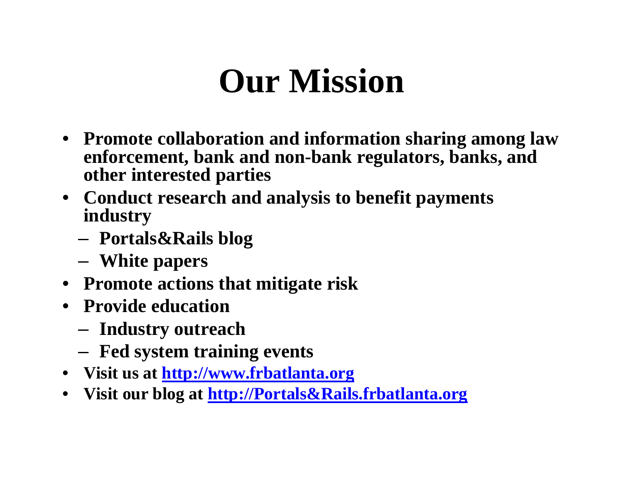## **Our Mission**

- **Promote collaboration and information sharing among law enforcement, bank and non-bank regulators, banks, and other interested parties**
- **Conduct research and analysis to benefit payments industry**
	- **Portals&Rails blog**
	- –**White papers**
- **Promote actions that mitigate risk**
- **Provide education**
	- **Industry outreach**
	- **Fed system training events**
- **Visit us at [http://www.frbatlanta.org](http://www.frbatlanta.org/)**
- **Visit our blog at [http://Portals&Rails.frbatlanta.org](http://portals&rails.frbatlanta.org/)**